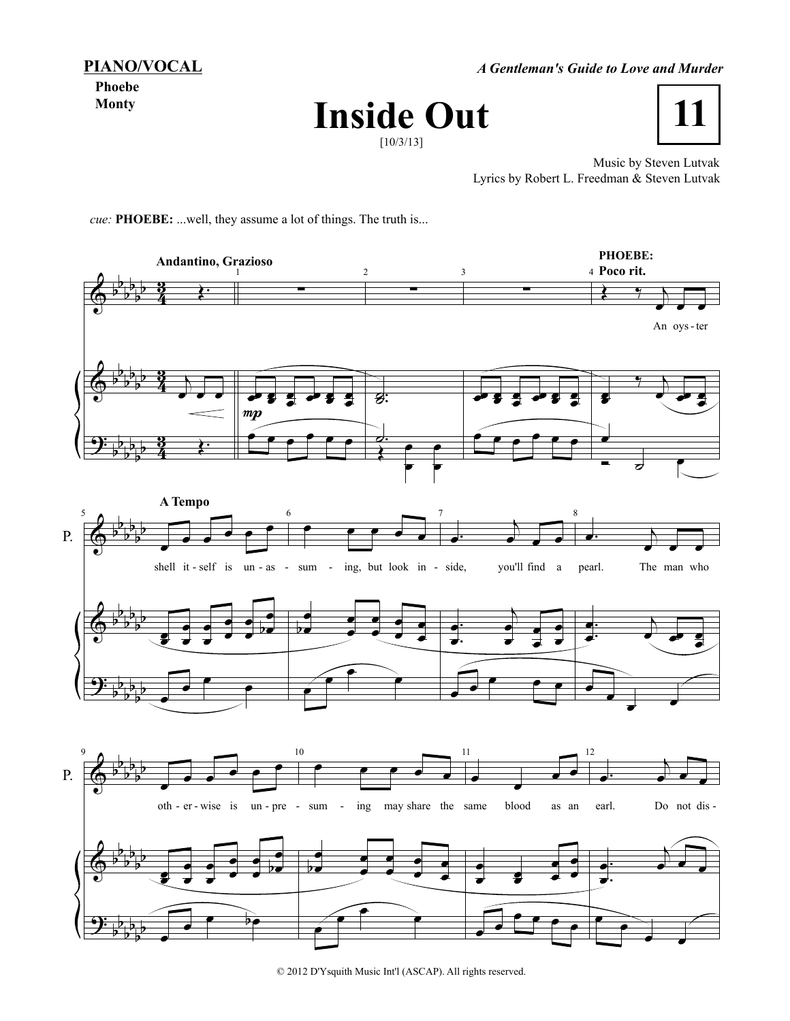**PIANO/VOCAL**

*A Gentleman's Guide to Love and Murder*

**Phoebe Monty**





Music by Steven Lutvak Lyrics by Robert L. Freedman & Steven Lutvak

*cue:* **PHOEBE:** ...well, they assume a lot of things. The truth is...



© 2012 D'Ysquith Music Int'l (ASCAP). All rights reserved.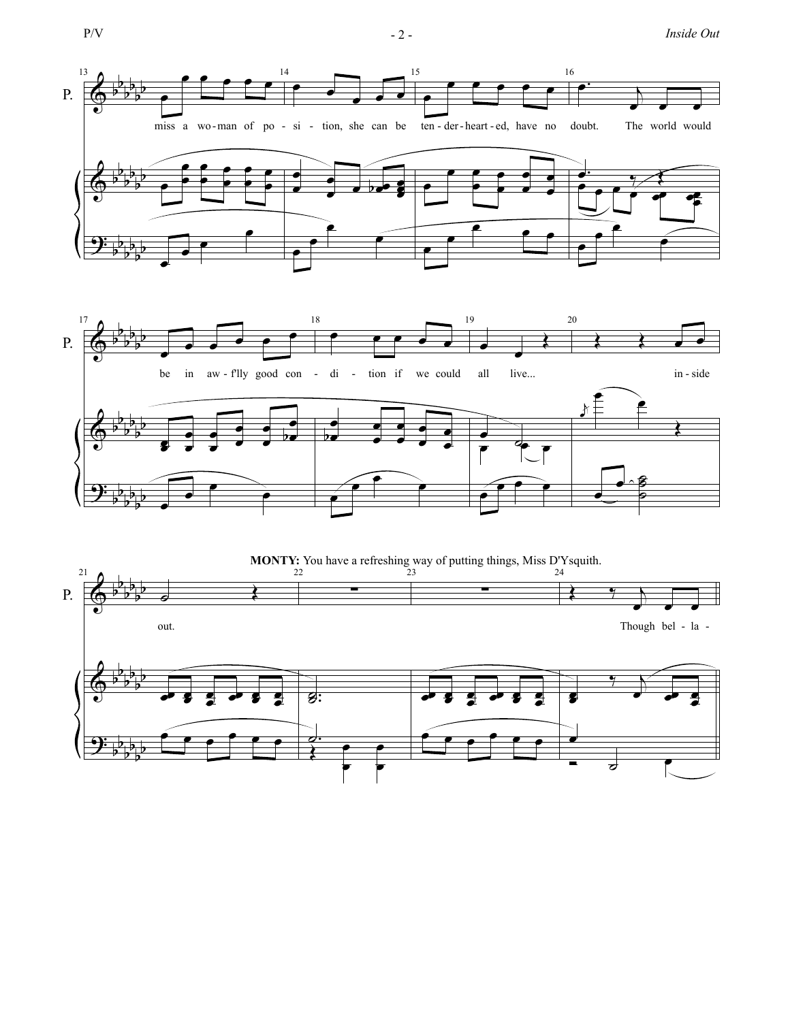$$
P/V\\
$$

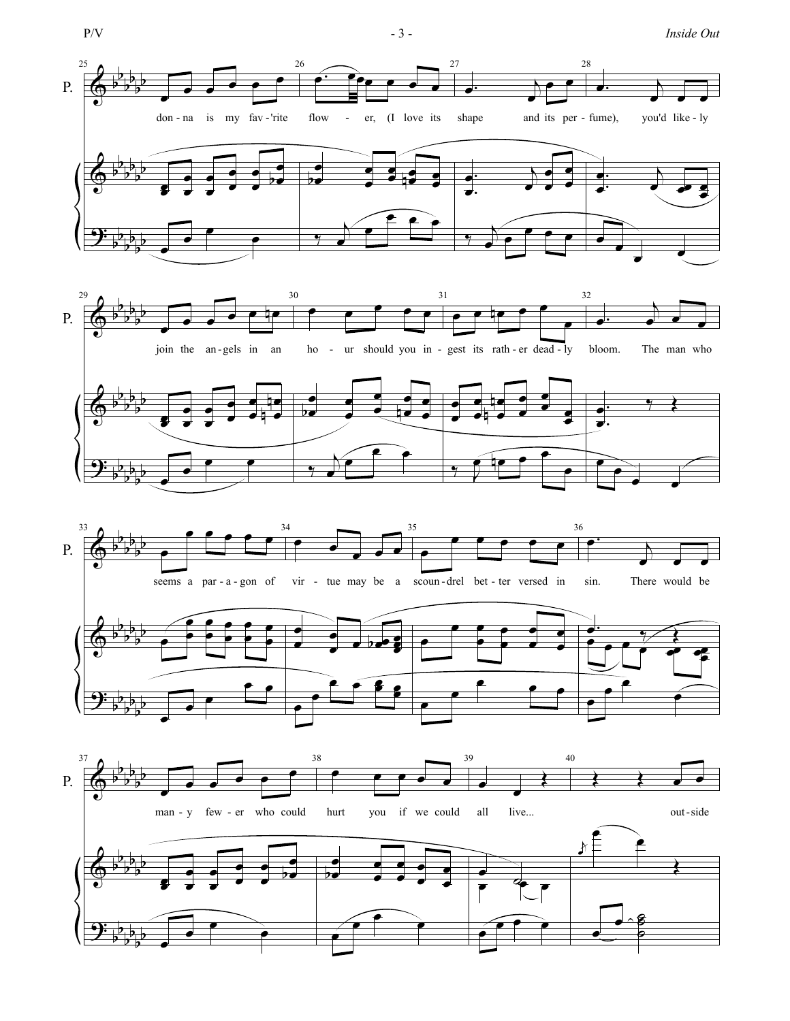$$
P/V
$$

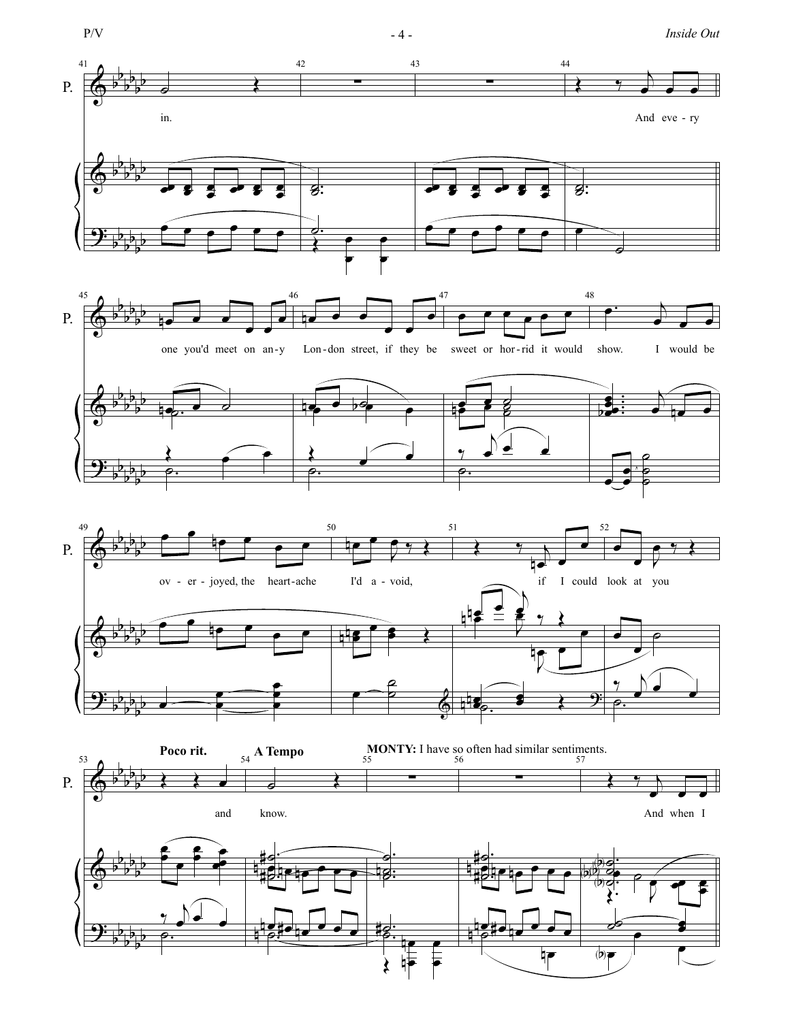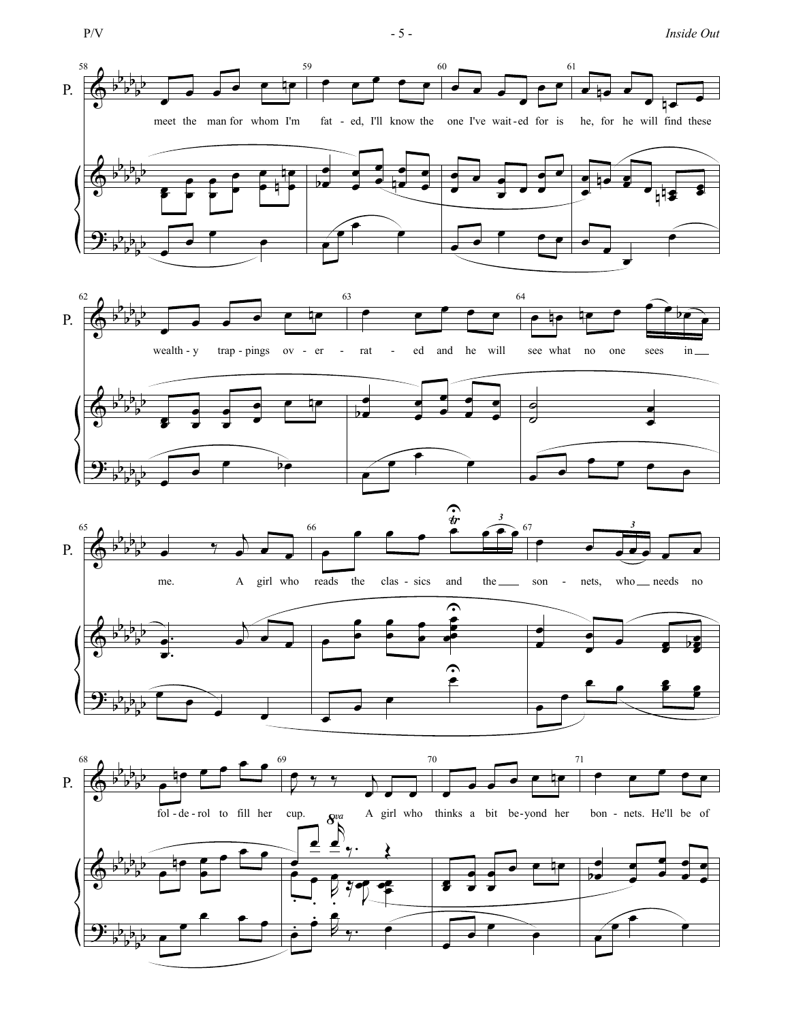$$
P/V
$$

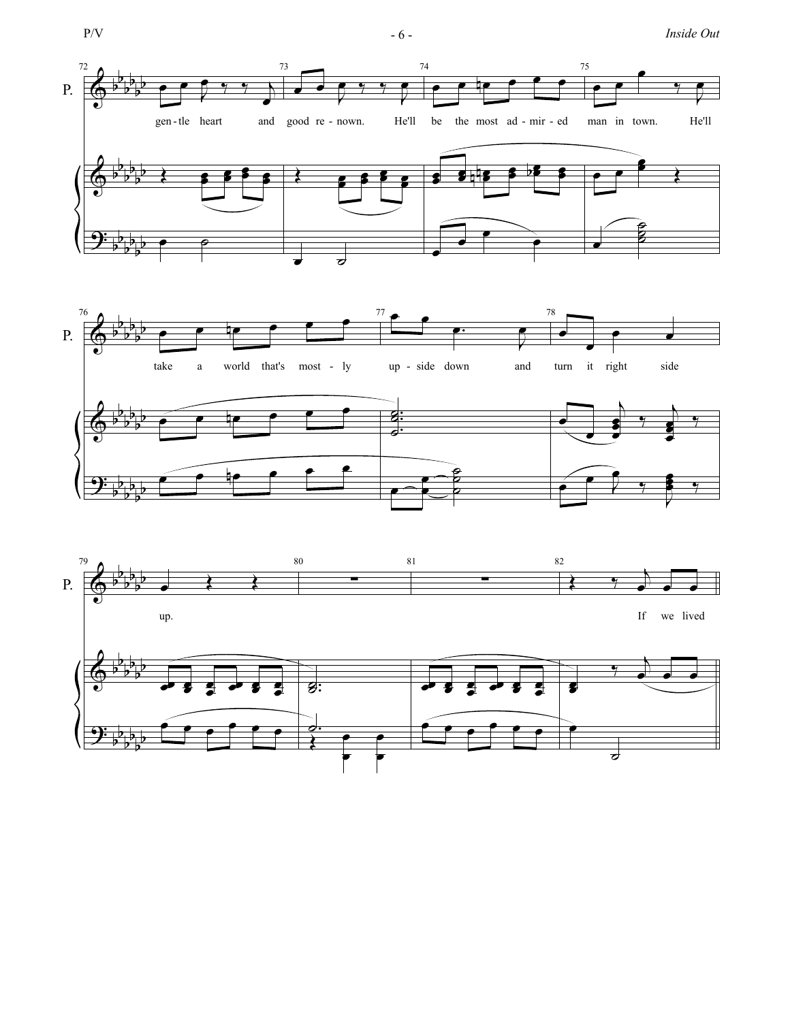$$
P/V
$$

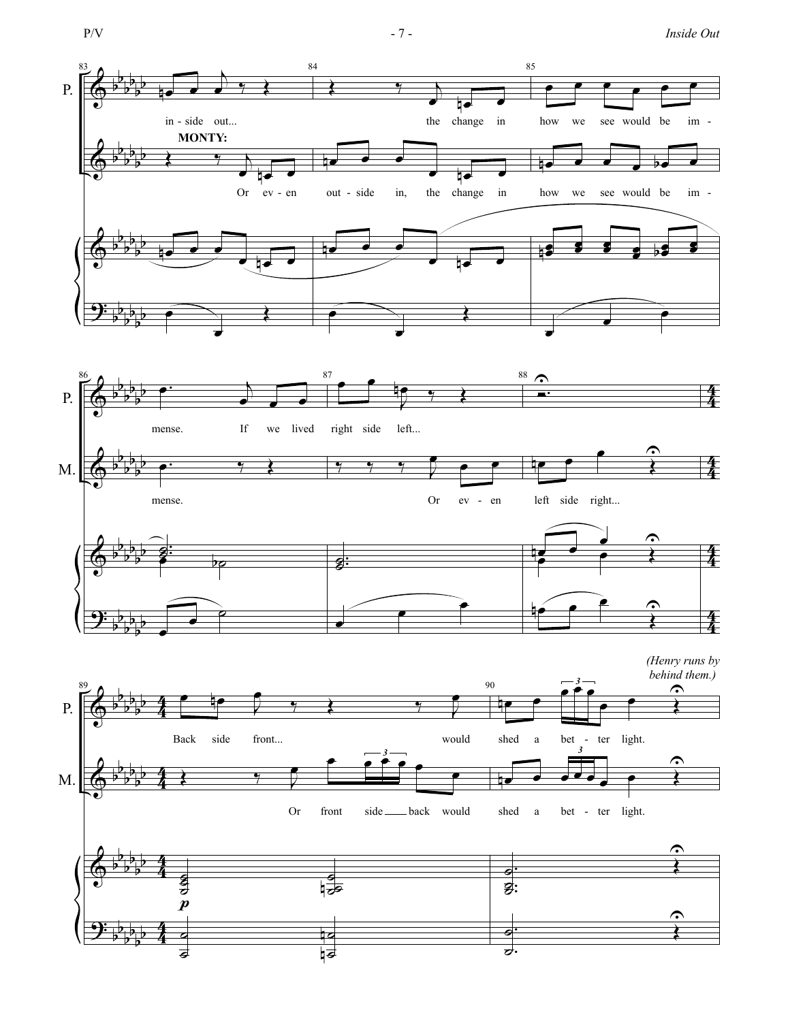$$
P/V
$$